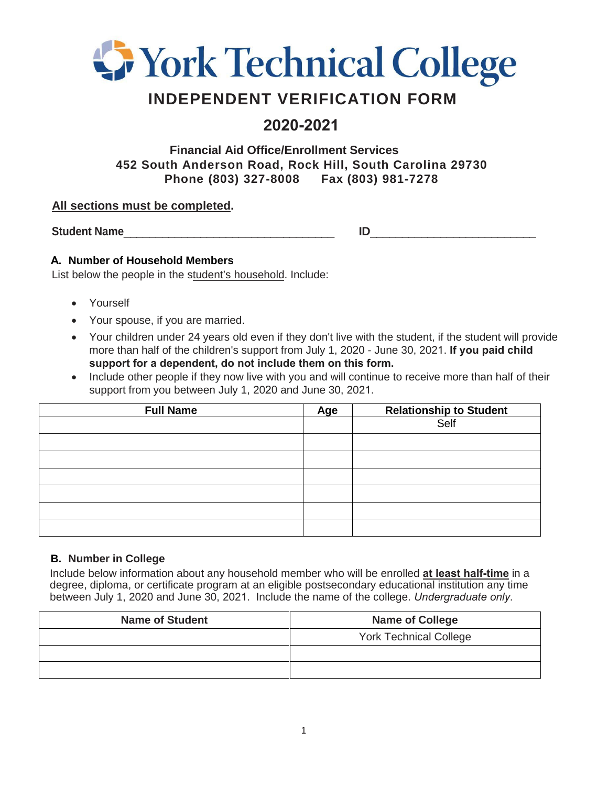

# **INDEPENDENT VERIFICATION FORM**

## **2020-2021**

**Financial Aid Office/Enrollment Services 452 South Anderson Road, Rock Hill, South Carolina 29730 Phone (803) 327-8008 Fax (803) 981-7278**

#### **All sections must be completed.**

**Student Name**\_\_\_\_\_\_\_\_\_\_\_\_\_\_\_\_\_\_\_\_\_\_\_\_\_\_\_\_\_\_\_\_\_ **ID**\_\_\_\_\_\_\_\_\_\_\_\_\_\_\_\_\_\_\_\_\_\_\_\_\_\_

#### **A. Number of Household Members**

List below the people in the student's household. Include:

- Yourself
- Your spouse, if you are married.
- Your children under 24 years old even if they don't live with the student, if the student will provide more than half of the children's support from July 1, 2020 - June 30, 2021. **If you paid child support for a dependent, do not include them on this form.**
- Include other people if they now live with you and will continue to receive more than half of their support from you between July 1, 2020 and June 30, 2021.

| <b>Full Name</b> | Age | Relationship to Student |  |
|------------------|-----|-------------------------|--|
|                  |     | Self                    |  |
|                  |     |                         |  |
|                  |     |                         |  |
|                  |     |                         |  |
|                  |     |                         |  |
|                  |     |                         |  |
|                  |     |                         |  |

#### **B. Number in College**

Include below information about any household member who will be enrolled **at least half-time** in a degree, diploma, or certificate program at an eligible postsecondary educational institution any time between July 1, 2020 and June 30, 2021. Include the name of the college. *Undergraduate only*.

| <b>Name of Student</b> | <b>Name of College</b>        |  |
|------------------------|-------------------------------|--|
|                        | <b>York Technical College</b> |  |
|                        |                               |  |
|                        |                               |  |